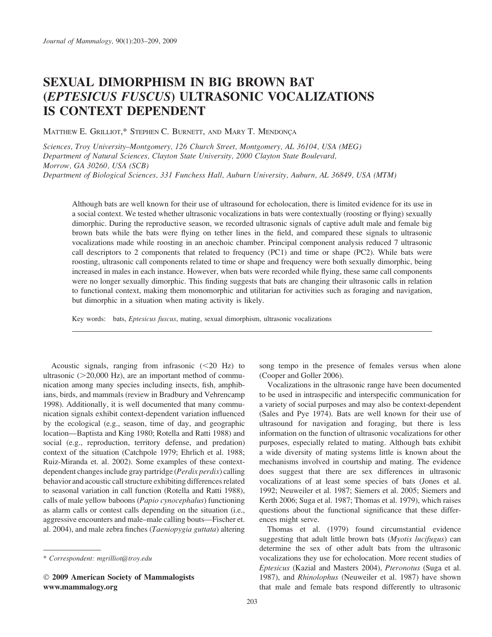# SEXUAL DIMORPHISM IN BIG BROWN BAT (EPTESICUS FUSCUS) ULTRASONIC VOCALIZATIONS IS CONTEXT DEPENDENT

MATTHEW E. GRILLIOT,\* STEPHEN C. BURNETT, AND MARY T. MENDONCA

Sciences, Troy University–Montgomery, 126 Church Street, Montgomery, AL 36104, USA (MEG) Department of Natural Sciences, Clayton State University, 2000 Clayton State Boulevard, Morrow, GA 30260, USA (SCB) Department of Biological Sciences, 331 Funchess Hall, Auburn University, Auburn, AL 36849, USA (MTM)

Although bats are well known for their use of ultrasound for echolocation, there is limited evidence for its use in a social context. We tested whether ultrasonic vocalizations in bats were contextually (roosting or flying) sexually dimorphic. During the reproductive season, we recorded ultrasonic signals of captive adult male and female big brown bats while the bats were flying on tether lines in the field, and compared these signals to ultrasonic vocalizations made while roosting in an anechoic chamber. Principal component analysis reduced 7 ultrasonic call descriptors to 2 components that related to frequency (PC1) and time or shape (PC2). While bats were roosting, ultrasonic call components related to time or shape and frequency were both sexually dimorphic, being increased in males in each instance. However, when bats were recorded while flying, these same call components were no longer sexually dimorphic. This finding suggests that bats are changing their ultrasonic calls in relation to functional context, making them monomorphic and utilitarian for activities such as foraging and navigation, but dimorphic in a situation when mating activity is likely.

Key words: bats, Eptesicus fuscus, mating, sexual dimorphism, ultrasonic vocalizations

Acoustic signals, ranging from infrasonic  $(<20$  Hz) to ultrasonic  $(>=20,000 \text{ Hz})$ , are an important method of communication among many species including insects, fish, amphibians, birds, and mammals (review in Bradbury and Vehrencamp 1998). Additionally, it is well documented that many communication signals exhibit context-dependent variation influenced by the ecological (e.g., season, time of day, and geographic location—Baptista and King 1980; Rotella and Ratti 1988) and social (e.g., reproduction, territory defense, and predation) context of the situation (Catchpole 1979; Ehrlich et al. 1988; Ruiz-Miranda et. al. 2002). Some examples of these contextdependent changes include gray partridge (Perdix perdix) calling behavior and acoustic call structure exhibiting differences related to seasonal variation in call function (Rotella and Ratti 1988), calls of male yellow baboons (Papio cynocephalus) functioning as alarm calls or contest calls depending on the situation (i.e., aggressive encounters and male–male calling bouts—Fischer et. al. 2004), and male zebra finches (Taeniopygia guttata) altering

- 2009 American Society of Mammalogists www.mammalogy.org

song tempo in the presence of females versus when alone (Cooper and Goller 2006).

Vocalizations in the ultrasonic range have been documented to be used in intraspecific and interspecific communication for a variety of social purposes and may also be context-dependent (Sales and Pye 1974). Bats are well known for their use of ultrasound for navigation and foraging, but there is less information on the function of ultrasonic vocalizations for other purposes, especially related to mating. Although bats exhibit a wide diversity of mating systems little is known about the mechanisms involved in courtship and mating. The evidence does suggest that there are sex differences in ultrasonic vocalizations of at least some species of bats (Jones et al. 1992; Neuweiler et al. 1987; Siemers et al. 2005; Siemers and Kerth 2006; Suga et al. 1987; Thomas et al. 1979), which raises questions about the functional significance that these differences might serve.

Thomas et al. (1979) found circumstantial evidence suggesting that adult little brown bats (*Myotis lucifugus*) can determine the sex of other adult bats from the ultrasonic vocalizations they use for echolocation. More recent studies of Eptesicus (Kazial and Masters 2004), Pteronotus (Suga et al. 1987), and Rhinolophus (Neuweiler et al. 1987) have shown that male and female bats respond differently to ultrasonic

<sup>\*</sup> Correspondent: mgrilliot@troy.edu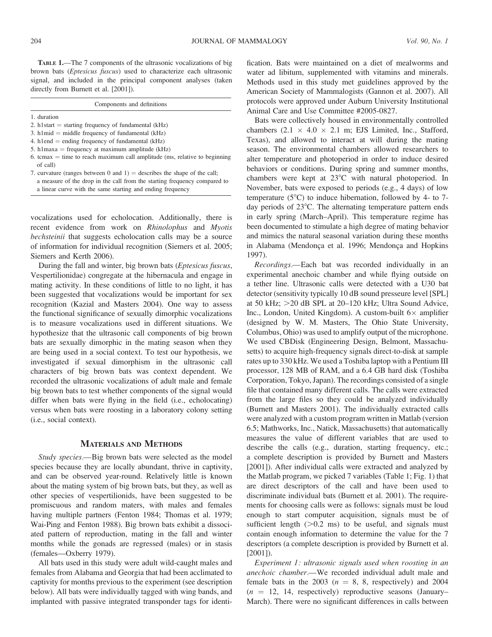TABLE 1.—The 7 components of the ultrasonic vocalizations of big brown bats (Eptesicus fuscus) used to characterize each ultrasonic signal, and included in the principal component analyses (taken directly from Burnett et al. [2001]).

| Components and definitions                                                               |  |  |
|------------------------------------------------------------------------------------------|--|--|
| 1. duration                                                                              |  |  |
| 2. h1start $=$ starting frequency of fundamental (kHz)                                   |  |  |
| 3. h1mid $=$ middle frequency of fundamental (kHz)                                       |  |  |
| 4. h1end $=$ ending frequency of fundamental ( $kHz$ )                                   |  |  |
| 5. h1maxa = frequency at maximum amplitude $(kHz)$                                       |  |  |
| 6. tcmax $=$ time to reach maximum call amplitude (ms, relative to beginning<br>of call) |  |  |
| 7. curvature (ranges between 0 and 1) = describes the shape of the call;                 |  |  |
| a measure of the drop in the call from the starting frequency compared to                |  |  |

a linear curve with the same starting and ending frequency

vocalizations used for echolocation. Additionally, there is recent evidence from work on Rhinolophus and Myotis bechsteinii that suggests echolocation calls may be a source of information for individual recognition (Siemers et al. 2005; Siemers and Kerth 2006).

During the fall and winter, big brown bats (Eptesicus fuscus, Vespertilionidae) congregate at the hibernacula and engage in mating activity. In these conditions of little to no light, it has been suggested that vocalizations would be important for sex recognition (Kazial and Masters 2004). One way to assess the functional significance of sexually dimorphic vocalizations is to measure vocalizations used in different situations. We hypothesize that the ultrasonic call components of big brown bats are sexually dimorphic in the mating season when they are being used in a social context. To test our hypothesis, we investigated if sexual dimorphism in the ultrasonic call characters of big brown bats was context dependent. We recorded the ultrasonic vocalizations of adult male and female big brown bats to test whether components of the signal would differ when bats were flying in the field (i.e., echolocating) versus when bats were roosting in a laboratory colony setting (i.e., social context).

#### MATERIALS AND METHODS

Study species.—Big brown bats were selected as the model species because they are locally abundant, thrive in captivity, and can be observed year-round. Relatively little is known about the mating system of big brown bats, but they, as well as other species of vespertilionids, have been suggested to be promiscuous and random maters, with males and females having multiple partners (Fenton 1984; Thomas et al. 1979; Wai-Ping and Fenton 1988). Big brown bats exhibit a dissociated pattern of reproduction, mating in the fall and winter months while the gonads are regressed (males) or in stasis (females—Oxberry 1979).

All bats used in this study were adult wild-caught males and females from Alabama and Georgia that had been acclimated to captivity for months previous to the experiment (see description below). All bats were individually tagged with wing bands, and implanted with passive integrated transponder tags for identification. Bats were maintained on a diet of mealworms and water ad libitum, supplemented with vitamins and minerals. Methods used in this study met guidelines approved by the American Society of Mammalogists (Gannon et al. 2007). All protocols were approved under Auburn University Institutional Animal Care and Use Committee #2005-0827.

Bats were collectively housed in environmentally controlled chambers  $(2.1 \times 4.0 \times 2.1 \text{ m}$ ; EJS Limited, Inc., Stafford, Texas), and allowed to interact at will during the mating season. The environmental chambers allowed researchers to alter temperature and photoperiod in order to induce desired behaviors or conditions. During spring and summer months, chambers were kept at  $23^{\circ}$ C with natural photoperiod. In November, bats were exposed to periods (e.g., 4 days) of low temperature  $(5^{\circ}C)$  to induce hibernation, followed by 4- to 7day periods of  $23^{\circ}$ C. The alternating temperature pattern ends in early spring (March–April). This temperature regime has been documented to stimulate a high degree of mating behavior and mimics the natural seasonal variation during these months in Alabama (Mendonça et al. 1996; Mendonça and Hopkins 1997).

Recordings.—Each bat was recorded individually in an experimental anechoic chamber and while flying outside on a tether line. Ultrasonic calls were detected with a U30 bat detector (sensitivity typically 10 dB sound presseure level [SPL] at 50 kHz;  $>20$  dB SPL at 20–120 kHz; Ultra Sound Advice, Inc., London, United Kingdom). A custom-built  $6 \times$  amplifier (designed by W. M. Masters, The Ohio State University, Columbus, Ohio) was used to amplify output of the microphone. We used CBDisk (Engineering Design, Belmont, Massachusetts) to acquire high-frequency signals direct-to-disk at sample rates up to 330 kHz. We used a Toshiba laptop with a Pentium III processor, 128 MB of RAM, and a 6.4 GB hard disk (Toshiba Corporation, Tokyo, Japan). The recordings consisted of a single file that contained many different calls. The calls were extracted from the large files so they could be analyzed individually (Burnett and Masters 2001). The individually extracted calls were analyzed with a custom program written in Matlab (version 6.5; Mathworks, Inc., Natick, Massachusetts) that automatically measures the value of different variables that are used to describe the calls (e.g., duration, starting frequency, etc.; a complete description is provided by Burnett and Masters [2001]). After individual calls were extracted and analyzed by the Matlab program, we picked 7 variables (Table 1; Fig. 1) that are direct descriptors of the call and have been used to discriminate individual bats (Burnett et al. 2001). The requirements for choosing calls were as follows: signals must be loud enough to start computer acquisition, signals must be of sufficient length  $(0.2 \text{ ms})$  to be useful, and signals must contain enough information to determine the value for the 7 descriptors (a complete description is provided by Burnett et al. [2001]).

Experiment 1: ultrasonic signals used when roosting in an anechoic chamber.—We recorded individual adult male and female bats in the 2003 ( $n = 8$ , 8, respectively) and 2004  $(n = 12, 14,$  respectively) reproductive seasons (January– March). There were no significant differences in calls between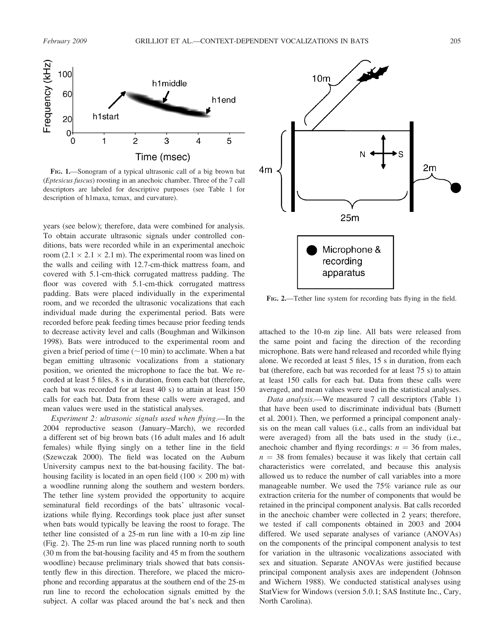

FIG. 1.—Sonogram of a typical ultrasonic call of a big brown bat (Eptesicus fuscus) roosting in an anechoic chamber. Three of the 7 call descriptors are labeled for descriptive purposes (see Table 1 for description of h1maxa, tcmax, and curvature).

years (see below); therefore, data were combined for analysis. To obtain accurate ultrasonic signals under controlled conditions, bats were recorded while in an experimental anechoic room  $(2.1 \times 2.1 \times 2.1 \text{ m})$ . The experimental room was lined on the walls and ceiling with 12.7-cm-thick mattress foam, and covered with 5.1-cm-thick corrugated mattress padding. The floor was covered with 5.1-cm-thick corrugated mattress padding. Bats were placed individually in the experimental room, and we recorded the ultrasonic vocalizations that each individual made during the experimental period. Bats were recorded before peak feeding times because prior feeding tends to decrease activity level and calls (Boughman and Wilkinson 1998). Bats were introduced to the experimental room and given a brief period of time  $(\sim 10 \text{ min})$  to acclimate. When a bat began emitting ultrasonic vocalizations from a stationary position, we oriented the microphone to face the bat. We recorded at least 5 files, 8 s in duration, from each bat (therefore, each bat was recorded for at least 40 s) to attain at least 150 calls for each bat. Data from these calls were averaged, and mean values were used in the statistical analyses.

Experiment 2: ultrasonic signals used when flying.—In the 2004 reproductive season (January–March), we recorded a different set of big brown bats (16 adult males and 16 adult females) while flying singly on a tether line in the field (Szewczak 2000). The field was located on the Auburn University campus next to the bat-housing facility. The bathousing facility is located in an open field  $(100 \times 200 \text{ m})$  with a woodline running along the southern and western borders. The tether line system provided the opportunity to acquire seminatural field recordings of the bats' ultrasonic vocalizations while flying. Recordings took place just after sunset when bats would typically be leaving the roost to forage. The tether line consisted of a 25-m run line with a 10-m zip line (Fig. 2). The 25-m run line was placed running north to south (30 m from the bat-housing facility and 45 m from the southern woodline) because preliminary trials showed that bats consistently flew in this direction. Therefore, we placed the microphone and recording apparatus at the southern end of the 25-m run line to record the echolocation signals emitted by the subject. A collar was placed around the bat's neck and then



FIG. 2.—Tether line system for recording bats flying in the field.

attached to the 10-m zip line. All bats were released from the same point and facing the direction of the recording microphone. Bats were hand released and recorded while flying alone. We recorded at least 5 files, 15 s in duration, from each bat (therefore, each bat was recorded for at least 75 s) to attain at least 150 calls for each bat. Data from these calls were averaged, and mean values were used in the statistical analyses.

Data analysis.—We measured 7 call descriptors (Table 1) that have been used to discriminate individual bats (Burnett et al. 2001). Then, we performed a principal component analysis on the mean call values (i.e., calls from an individual bat were averaged) from all the bats used in the study (i.e., anechoic chamber and flying recordings:  $n = 36$  from males,  $n = 38$  from females) because it was likely that certain call characteristics were correlated, and because this analysis allowed us to reduce the number of call variables into a more manageable number. We used the 75% variance rule as our extraction criteria for the number of components that would be retained in the principal component analysis. Bat calls recorded in the anechoic chamber were collected in 2 years; therefore, we tested if call components obtained in 2003 and 2004 differed. We used separate analyses of variance (ANOVAs) on the components of the principal component analysis to test for variation in the ultrasonic vocalizations associated with sex and situation. Separate ANOVAs were justified because principal component analysis axes are independent (Johnson and Wichern 1988). We conducted statistical analyses using StatView for Windows (version 5.0.1; SAS Institute Inc., Cary, North Carolina).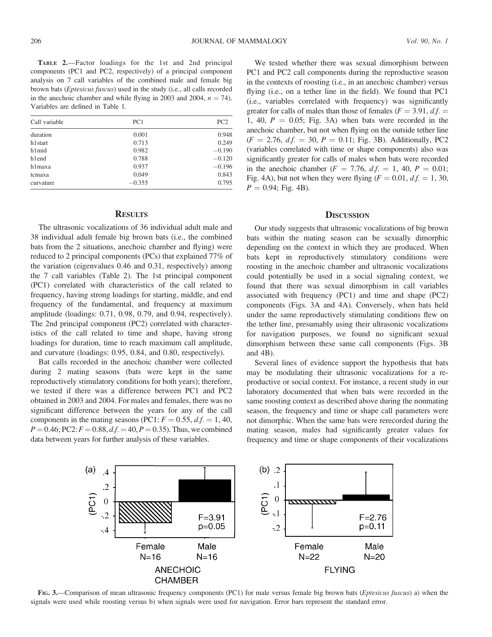TABLE 2.—Factor loadings for the 1st and 2nd principal components (PC1 and PC2, respectively) of a principal component analysis on 7 call variables of the combined male and female big brown bats (Eptesicus fuscus) used in the study (i.e., all calls recorded in the anechoic chamber and while flying in 2003 and 2004,  $n = 74$ ). Variables are defined in Table 1.

| Call variable | PC1      | PC <sub>2</sub> |
|---------------|----------|-----------------|
| duration      | 0.001    | 0.948           |
| h1start       | 0.713    | 0.249           |
| h1mid         | 0.982    | $-0.190$        |
| hlend         | 0.788    | $-0.120$        |
| h1maxa        | 0.937    | $-0.196$        |
| tcmaxa        | 0.049    | 0.843           |
| curvature     | $-0.355$ | 0.795           |

## **RESULTS**

The ultrasonic vocalizations of 36 individual adult male and 38 individual adult female big brown bats (i.e., the combined bats from the 2 situations, anechoic chamber and flying) were reduced to 2 principal components (PCs) that explained 77% of the variation (eigenvalues 0.46 and 0.31, respectively) among the 7 call variables (Table 2). The 1st principal component (PC1) correlated with characteristics of the call related to frequency, having strong loadings for starting, middle, and end frequency of the fundamental, and frequency at maximum amplitude (loadings: 0.71, 0.98, 0.79, and 0.94, respectively). The 2nd principal component (PC2) correlated with characteristics of the call related to time and shape, having strong loadings for duration, time to reach maximum call amplitude, and curvature (loadings: 0.95, 0.84, and 0.80, respectively).

Bat calls recorded in the anechoic chamber were collected during 2 mating seasons (bats were kept in the same reproductively stimulatory conditions for both years); therefore, we tested if there was a difference between PC1 and PC2 obtained in 2003 and 2004. For males and females, there was no significant difference between the years for any of the call components in the mating seasons (PC1:  $F = 0.55$ ,  $df = 1$ , 40,  $P = 0.46$ ; PC2:  $F = 0.88$ ,  $df = 40$ ,  $P = 0.35$ ). Thus, we combined data between years for further analysis of these variables.

We tested whether there was sexual dimorphism between PC1 and PC2 call components during the reproductive season in the contexts of roosting (i.e., in an anechoic chamber) versus flying (i.e., on a tether line in the field). We found that PC1 (i.e., variables correlated with frequency) was significantly greater for calls of males than those of females ( $F = 3.91$ ,  $df =$ 1, 40,  $P = 0.05$ ; Fig. 3A) when bats were recorded in the anechoic chamber, but not when flying on the outside tether line  $(F = 2.76, df = 30, P = 0.11; Fig. 3B)$ . Additionally, PC2 (variables correlated with time or shape components) also was significantly greater for calls of males when bats were recorded in the anechoic chamber ( $F = 7.76$ ,  $d.f. = 1, 40$ ,  $P = 0.01$ ; Fig. 4A), but not when they were flying  $(F = 0.01, d.f. = 1, 30,$  $P = 0.94$ ; Fig. 4B).

### **DISCUSSION**

Our study suggests that ultrasonic vocalizations of big brown bats within the mating season can be sexually dimorphic depending on the context in which they are produced. When bats kept in reproductively stimulatory conditions were roosting in the anechoic chamber and ultrasonic vocalizations could potentially be used in a social signaling context, we found that there was sexual dimorphism in call variables associated with frequency (PC1) and time and shape (PC2) components (Figs. 3A and 4A). Conversely, when bats held under the same reproductively stimulating conditions flew on the tether line, presumably using their ultrasonic vocalizations for navigation purposes, we found no significant sexual dimorphism between these same call components (Figs. 3B and 4B).

Several lines of evidence support the hypothesis that bats may be modulating their ultrasonic vocalizations for a reproductive or social context. For instance, a recent study in our laboratory documented that when bats were recorded in the same roosting context as described above during the nonmating season, the frequency and time or shape call parameters were not dimorphic. When the same bats were rerecorded during the mating season, males had significantly greater values for frequency and time or shape components of their vocalizations



FIG. 3.—Comparison of mean ultrasonic frequency components (PC1) for male versus female big brown bats (Eptesicus fuscus) a) when the signals were used while roosting versus b) when signals were used for navigation. Error bars represent the standard error.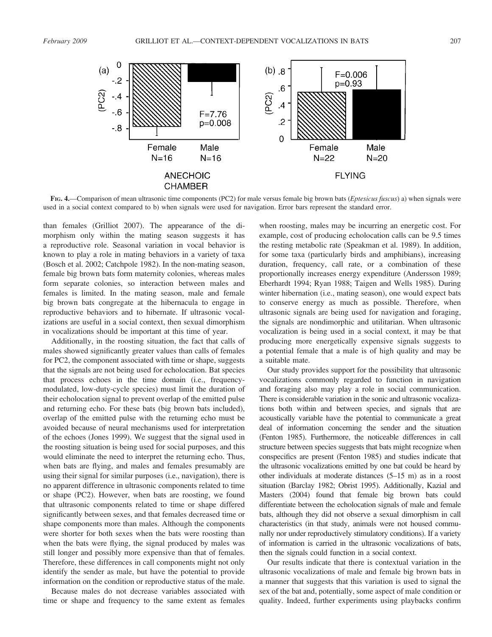

FIG. 4.—Comparison of mean ultrasonic time components (PC2) for male versus female big brown bats (Eptesicus fuscus) a) when signals were used in a social context compared to b) when signals were used for navigation. Error bars represent the standard error.

than females (Grilliot 2007). The appearance of the dimorphism only within the mating season suggests it has a reproductive role. Seasonal variation in vocal behavior is known to play a role in mating behaviors in a variety of taxa (Bosch et al. 2002; Catchpole 1982). In the non-mating season, female big brown bats form maternity colonies, whereas males form separate colonies, so interaction between males and females is limited. In the mating season, male and female big brown bats congregate at the hibernacula to engage in reproductive behaviors and to hibernate. If ultrasonic vocalizations are useful in a social context, then sexual dimorphism in vocalizations should be important at this time of year.

Additionally, in the roosting situation, the fact that calls of males showed significantly greater values than calls of females for PC2, the component associated with time or shape, suggests that the signals are not being used for echolocation. Bat species that process echoes in the time domain (i.e., frequencymodulated, low-duty-cycle species) must limit the duration of their echolocation signal to prevent overlap of the emitted pulse and returning echo. For these bats (big brown bats included), overlap of the emitted pulse with the returning echo must be avoided because of neural mechanisms used for interpretation of the echoes (Jones 1999). We suggest that the signal used in the roosting situation is being used for social purposes, and this would eliminate the need to interpret the returning echo. Thus, when bats are flying, and males and females presumably are using their signal for similar purposes (i.e., navigation), there is no apparent difference in ultrasonic components related to time or shape (PC2). However, when bats are roosting, we found that ultrasonic components related to time or shape differed significantly between sexes, and that females decreased time or shape components more than males. Although the components were shorter for both sexes when the bats were roosting than when the bats were flying, the signal produced by males was still longer and possibly more expensive than that of females. Therefore, these differences in call components might not only identify the sender as male, but have the potential to provide information on the condition or reproductive status of the male.

Because males do not decrease variables associated with time or shape and frequency to the same extent as females

when roosting, males may be incurring an energetic cost. For example, cost of producing echolocation calls can be 9.5 times the resting metabolic rate (Speakman et al. 1989). In addition, for some taxa (particularly birds and amphibians), increasing duration, frequency, call rate, or a combination of these proportionally increases energy expenditure (Andersson 1989; Eberhardt 1994; Ryan 1988; Taigen and Wells 1985). During winter hibernation (i.e., mating season), one would expect bats to conserve energy as much as possible. Therefore, when ultrasonic signals are being used for navigation and foraging, the signals are nondimorphic and utilitarian. When ultrasonic vocalization is being used in a social context, it may be that producing more energetically expensive signals suggests to a potential female that a male is of high quality and may be a suitable mate.

Our study provides support for the possibility that ultrasonic vocalizations commonly regarded to function in navigation and foraging also may play a role in social communication. There is considerable variation in the sonic and ultrasonic vocalizations both within and between species, and signals that are acoustically variable have the potential to communicate a great deal of information concerning the sender and the situation (Fenton 1985). Furthermore, the noticeable differences in call structure between species suggests that bats might recognize when conspecifics are present (Fenton 1985) and studies indicate that the ultrasonic vocalizations emitted by one bat could be heard by other individuals at moderate distances (5–15 m) as in a roost situation (Barclay 1982; Obrist 1995). Additionally, Kazial and Masters (2004) found that female big brown bats could differentiate between the echolocation signals of male and female bats, although they did not observe a sexual dimorphism in call characteristics (in that study, animals were not housed communally nor under reproductively stimulatory conditions). If a variety of information is carried in the ultrasonic vocalizations of bats, then the signals could function in a social context.

Our results indicate that there is contextual variation in the ultrasonic vocalizations of male and female big brown bats in a manner that suggests that this variation is used to signal the sex of the bat and, potentially, some aspect of male condition or quality. Indeed, further experiments using playbacks confirm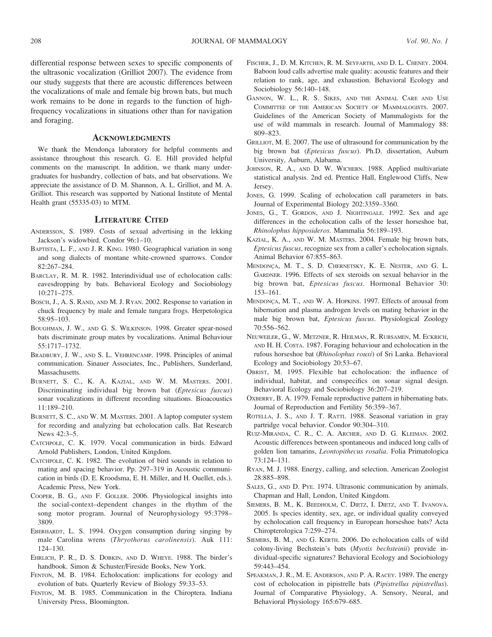differential response between sexes to specific components of the ultrasonic vocalization (Grilliot 2007). The evidence from our study suggests that there are acoustic differences between the vocalizations of male and female big brown bats, but much work remains to be done in regards to the function of highfrequency vocalizations in situations other than for navigation and foraging.

#### **ACKNOWLEDGMENTS**

We thank the Mendonça laboratory for helpful comments and assistance throughout this research. G. E. Hill provided helpful comments on the manuscript. In addition, we thank many undergraduates for husbandry, collection of bats, and bat observations. We appreciate the assistance of D. M. Shannon, A. L. Grilliot, and M. A. Grilliot. This research was supported by National Institute of Mental Health grant (55335-03) to MTM.

#### LITERATURE CITED

- ANDERSSON, S. 1989. Costs of sexual advertising in the lekking Jackson's widowbird. Condor 96:1–10.
- BAPTISTA, L. F., AND J. R. KING. 1980. Geographical variation in song and song dialects of montane white-crowned sparrows. Condor 82:267–284.
- BARCLAY, R. M. R. 1982. Interindividual use of echolocation calls: eavesdropping by bats. Behavioral Ecology and Sociobiology 10:271–275.
- BOSCH, J., A. S. RAND, AND M. J. RYAN. 2002. Response to variation in chuck frequency by male and female tungara frogs. Herpetologica 58:95–103.
- BOUGHMAN, J. W., AND G. S. WILKINSON. 1998. Greater spear-nosed bats discriminate group mates by vocalizations. Animal Behaviour 55:1717–1732.
- BRADBURY, J. W., AND S. L. VEHRENCAMP. 1998. Principles of animal communication. Sinauer Associates, Inc., Publishers, Sunderland, **Massachusetts**
- BURNETT, S. C., K. A. KAZIAL, AND W. M. MASTERS. 2001. Discriminating individual big brown bat (Eptesicus fuscus) sonar vocalizations in different recording situations. Bioacoustics 11:189–210.
- BURNETT, S. C., AND W. M. MASTERS. 2001. A laptop computer system for recording and analyzing bat echolocation calls. Bat Research News 42:3–5.
- CATCHPOLE, C. K. 1979. Vocal communication in birds. Edward Arnold Publishers, London, United Kingdom.
- CATCHPOLE, C. K. 1982. The evolution of bird sounds in relation to mating and spacing behavior. Pp. 297–319 in Acoustic communication in birds (D. E. Kroodsma, E. H. Miller, and H. Ouellet, eds.). Academic Press, New York.
- COOPER, B. G., AND F. GOLLER. 2006. Physiological insights into the social-context–dependent changes in the rhythm of the song motor program. Journal of Neurophysiology 95:3798– 3809.
- EBERHARDT, L. S. 1994. Oxygen consumption during singing by male Carolina wrens (Thryothorus carolinensis). Auk 111: 124–130.
- EHRLICH, P. R., D. S. DOBKIN, AND D. WHEYE. 1988. The birder's handbook. Simon & Schuster/Fireside Books, New York.
- FENTON, M. B. 1984. Echolocation: implications for ecology and evolution of bats. Quarterly Review of Biology 59:33–53.
- FENTON, M. B. 1985. Communication in the Chiroptera. Indiana University Press, Bloomington.
- FISCHER, J., D. M. KITCHEN, R. M. SEYFARTH, AND D. L. CHENEY. 2004. Baboon loud calls advertise male quality: acoustic features and their relation to rank, age, and exhaustion. Behavioral Ecology and Sociobiology 56:140–148.
- GANNON, W. L., R. S. SIKES, AND THE ANIMAL CARE AND USE COMMITTEE OF THE AMERICAN SOCIETY OF MAMMALOGISTS. 2007. Guidelines of the American Society of Mammalogists for the use of wild mammals in research. Journal of Mammalogy 88: 809–823.
- GRILLIOT, M. E. 2007. The use of ultrasound for communication by the big brown bat (Eptesicus fuscus). Ph.D. dissertation, Auburn University, Auburn, Alabama.
- JOHNSON, R. A., AND D. W. WICHERN. 1988. Applied multivariate statistical analysis. 2nd ed. Prentice Hall, Englewood Cliffs, New Jersey.
- JONES, G. 1999. Scaling of echolocation call parameters in bats. Journal of Experimental Biology 202:3359–3360.
- JONES, G., T. GORDON, AND J. NIGHTINGALE. 1992. Sex and age differences in the echolocation calls of the lesser horseshoe bat, Rhinolophus hipposideros. Mammalia 56:189–193.
- KAZIAL, K. A., AND W. M. MASTERS. 2004. Female big brown bats, Eptesicus fuscus, recognize sex from a caller's echolocation signals. Animal Behavior 67:855–863.
- MENDONÇA, M. T., S. D. CHERNETSKY, K. E. NESTER, AND G. L. GARDNER. 1996. Effects of sex steroids on sexual behavior in the big brown bat, Eptesicus fuscus. Hormonal Behavior 30: 153–161.
- MENDONÇA, M. T., AND W. A. HOPKINS. 1997. Effects of arousal from hibernation and plasma androgen levels on mating behavior in the male big brown bat, Eptesicus fuscus. Physiological Zoology 70:556–562.
- NEUWEILER, G., W. METZNER, R. HEILMAN, R. RUBSAMEN, M. ECKRICH, AND H. H. COSTA. 1987. Foraging behaviour and echolocation in the rufous horseshoe bat (Rhinolophus rouxi) of Sri Lanka. Behavioral Ecology and Sociobiology 20:53–67.
- OBRIST, M. 1995. Flexible bat echolocation: the influence of individual, habitat, and conspecifics on sonar signal design. Behavioral Ecology and Sociobiology 36:207–219.
- OXBERRY, B. A. 1979. Female reproductive pattern in hibernating bats. Journal of Reproduction and Fertility 56:359–367.
- ROTELLA, J. S., AND J. T. RATTI. 1988. Seasonal variation in gray partridge vocal behavior. Condor 90:304–310.
- RUIZ-MIRANDA, C. R., C. A. ARCHER, AND D. G. KLEIMAN. 2002. Acoustic differences between spontaneous and induced long calls of golden lion tamarins, Leontopithecus rosalia. Folia Primatologica 73:124–131.
- RYAN, M. J. 1988. Energy, calling, and selection. American Zoologist 28:885–898.
- SALES, G., AND D. PYE. 1974. Ultrasonic communication by animals. Chapman and Hall, London, United Kingdom.
- SIEMERS, B. M., K. BEEDHOLM, C. DIETZ, I. DIETZ, AND T. IVANOVA. 2005. Is species identity, sex, age, or individual quality conveyed by echolocation call frequency in European horseshoe bats? Acta Chiropterologica 7:259–274.
- SIEMERS, B. M., AND G. KERTH. 2006. Do echolocation calls of wild colony-living Bechstein's bats (Myotis bechsteinii) provide individual-specific signatures? Behavioral Ecology and Sociobiology 59:443–454.
- SPEAKMAN, J. R., M. E. ANDERSON, AND P. A. RACEY. 1989. The energy cost of echolocation in pipistrelle bats (Pipistrellus pipistrellus). Journal of Comparative Physiology, A. Sensory, Neural, and Behavioral Physiology 165:679–685.